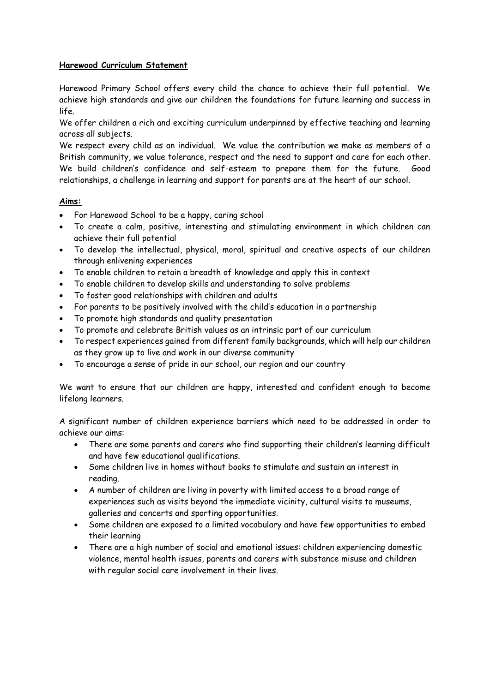# **Harewood Curriculum Statement**

Harewood Primary School offers every child the chance to achieve their full potential. We achieve high standards and give our children the foundations for future learning and success in life.

We offer children a rich and exciting curriculum underpinned by effective teaching and learning across all subjects.

We respect every child as an individual. We value the contribution we make as members of a British community, we value tolerance, respect and the need to support and care for each other. We build children's confidence and self-esteem to prepare them for the future. Good relationships, a challenge in learning and support for parents are at the heart of our school.

### **Aims:**

- For Harewood School to be a happy, caring school
- To create a calm, positive, interesting and stimulating environment in which children can achieve their full potential
- To develop the intellectual, physical, moral, spiritual and creative aspects of our children through enlivening experiences
- To enable children to retain a breadth of knowledge and apply this in context
- To enable children to develop skills and understanding to solve problems
- To foster good relationships with children and adults
- For parents to be positively involved with the child's education in a partnership
- To promote high standards and quality presentation
- To promote and celebrate British values as an intrinsic part of our curriculum
- To respect experiences gained from different family backgrounds, which will help our children as they grow up to live and work in our diverse community
- To encourage a sense of pride in our school, our region and our country

We want to ensure that our children are happy, interested and confident enough to become lifelong learners.

A significant number of children experience barriers which need to be addressed in order to achieve our aims:

- There are some parents and carers who find supporting their children's learning difficult and have few educational qualifications.
- Some children live in homes without books to stimulate and sustain an interest in reading.
- A number of children are living in poverty with limited access to a broad range of experiences such as visits beyond the immediate vicinity, cultural visits to museums, galleries and concerts and sporting opportunities.
- Some children are exposed to a limited vocabulary and have few opportunities to embed their learning
- There are a high number of social and emotional issues: children experiencing domestic violence, mental health issues, parents and carers with substance misuse and children with regular social care involvement in their lives.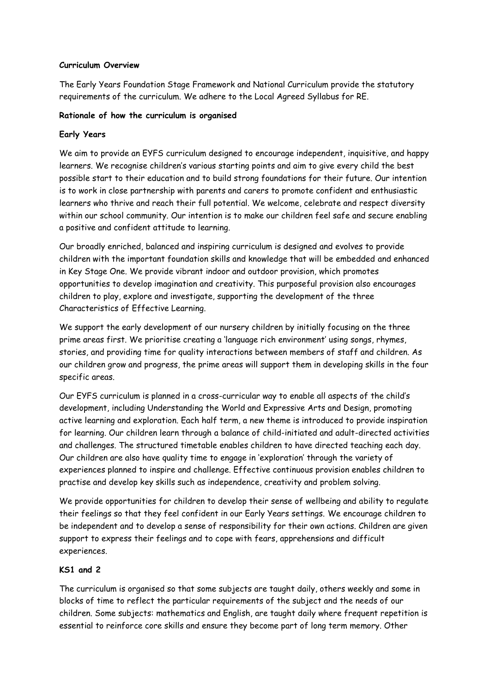### **Curriculum Overview**

The Early Years Foundation Stage Framework and National Curriculum provide the statutory requirements of the curriculum. We adhere to the Local Agreed Syllabus for RE.

### **Rationale of how the curriculum is organised**

### **Early Years**

We aim to provide an EYFS curriculum designed to encourage independent, inquisitive, and happy learners. We recognise children's various starting points and aim to give every child the best possible start to their education and to build strong foundations for their future. Our intention is to work in close partnership with parents and carers to promote confident and enthusiastic learners who thrive and reach their full potential. We welcome, celebrate and respect diversity within our school community. Our intention is to make our children feel safe and secure enabling a positive and confident attitude to learning.

Our broadly enriched, balanced and inspiring curriculum is designed and evolves to provide children with the important foundation skills and knowledge that will be embedded and enhanced in Key Stage One. We provide vibrant indoor and outdoor provision, which promotes opportunities to develop imagination and creativity. This purposeful provision also encourages children to play, explore and investigate, supporting the development of the three Characteristics of Effective Learning.

We support the early development of our nursery children by initially focusing on the three prime areas first. We prioritise creating a 'language rich environment' using songs, rhymes, stories, and providing time for quality interactions between members of staff and children. As our children grow and progress, the prime areas will support them in developing skills in the four specific areas.

Our EYFS curriculum is planned in a cross-curricular way to enable all aspects of the child's development, including Understanding the World and Expressive Arts and Design, promoting active learning and exploration. Each half term, a new theme is introduced to provide inspiration for learning. Our children learn through a balance of child-initiated and adult-directed activities and challenges. The structured timetable enables children to have directed teaching each day. Our children are also have quality time to engage in 'exploration' through the variety of experiences planned to inspire and challenge. Effective continuous provision enables children to practise and develop key skills such as independence, creativity and problem solving.

We provide opportunities for children to develop their sense of wellbeing and ability to regulate their feelings so that they feel confident in our Early Years settings. We encourage children to be independent and to develop a sense of responsibility for their own actions. Children are given support to express their feelings and to cope with fears, apprehensions and difficult experiences.

# **KS1 and 2**

The curriculum is organised so that some subjects are taught daily, others weekly and some in blocks of time to reflect the particular requirements of the subject and the needs of our children. Some subjects: mathematics and English, are taught daily where frequent repetition is essential to reinforce core skills and ensure they become part of long term memory. Other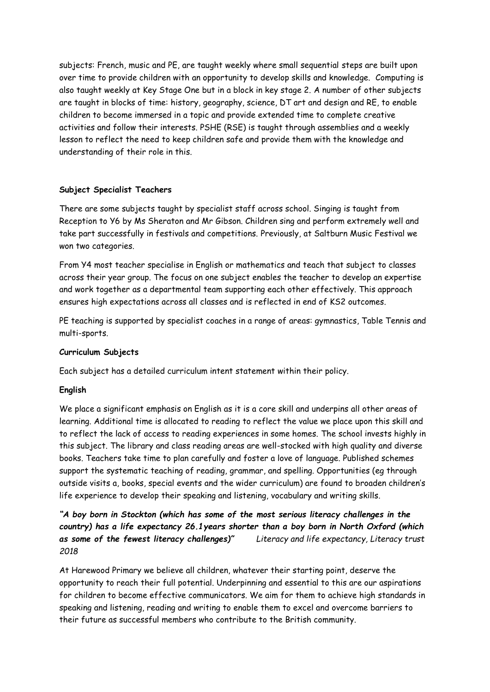subjects: French, music and PE, are taught weekly where small sequential steps are built upon over time to provide children with an opportunity to develop skills and knowledge. Computing is also taught weekly at Key Stage One but in a block in key stage 2. A number of other subjects are taught in blocks of time: history, geography, science, DT art and design and RE, to enable children to become immersed in a topic and provide extended time to complete creative activities and follow their interests. PSHE (RSE) is taught through assemblies and a weekly lesson to reflect the need to keep children safe and provide them with the knowledge and understanding of their role in this.

# **Subject Specialist Teachers**

There are some subjects taught by specialist staff across school. Singing is taught from Reception to Y6 by Ms Sheraton and Mr Gibson. Children sing and perform extremely well and take part successfully in festivals and competitions. Previously, at Saltburn Music Festival we won two categories.

From Y4 most teacher specialise in English or mathematics and teach that subject to classes across their year group. The focus on one subject enables the teacher to develop an expertise and work together as a departmental team supporting each other effectively. This approach ensures high expectations across all classes and is reflected in end of KS2 outcomes.

PE teaching is supported by specialist coaches in a range of areas: gymnastics, Table Tennis and multi-sports.

# **Curriculum Subjects**

Each subject has a detailed curriculum intent statement within their policy.

# **English**

We place a significant emphasis on English as it is a core skill and underpins all other areas of learning. Additional time is allocated to reading to reflect the value we place upon this skill and to reflect the lack of access to reading experiences in some homes. The school invests highly in this subject. The library and class reading areas are well-stocked with high quality and diverse books. Teachers take time to plan carefully and foster a love of language. Published schemes support the systematic teaching of reading, grammar, and spelling. Opportunities (eg through outside visits a, books, special events and the wider curriculum) are found to broaden children's life experience to develop their speaking and listening, vocabulary and writing skills.

*"A boy born in Stockton (which has some of the most serious literacy challenges in the country) has a life expectancy 26.1years shorter than a boy born in North Oxford (which as some of the fewest literacy challenges)" Literacy and life expectancy, Literacy trust 2018*

At Harewood Primary we believe all children, whatever their starting point, deserve the opportunity to reach their full potential. Underpinning and essential to this are our aspirations for children to become effective communicators. We aim for them to achieve high standards in speaking and listening, reading and writing to enable them to excel and overcome barriers to their future as successful members who contribute to the British community.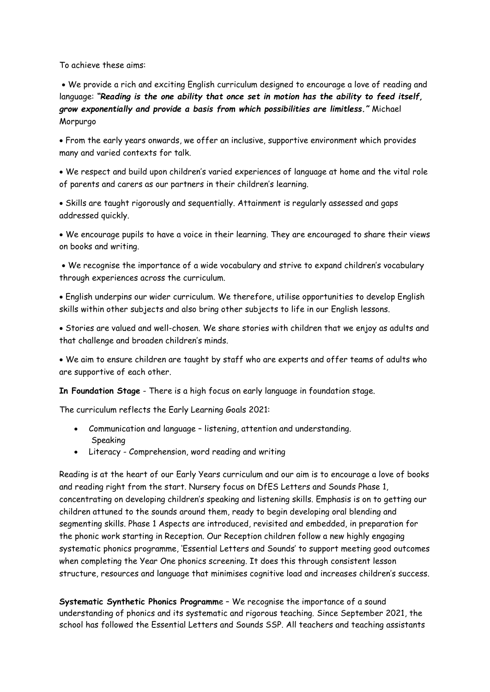To achieve these aims:

 We provide a rich and exciting English curriculum designed to encourage a love of reading and language: *"Reading is the one ability that once set in motion has the ability to feed itself, grow exponentially and provide a basis from which possibilities are limitless."* Michael Morpurgo

 From the early years onwards, we offer an inclusive, supportive environment which provides many and varied contexts for talk.

 We respect and build upon children's varied experiences of language at home and the vital role of parents and carers as our partners in their children's learning.

 Skills are taught rigorously and sequentially. Attainment is regularly assessed and gaps addressed quickly.

 We encourage pupils to have a voice in their learning. They are encouraged to share their views on books and writing.

 We recognise the importance of a wide vocabulary and strive to expand children's vocabulary through experiences across the curriculum.

 English underpins our wider curriculum. We therefore, utilise opportunities to develop English skills within other subjects and also bring other subjects to life in our English lessons.

 Stories are valued and well-chosen. We share stories with children that we enjoy as adults and that challenge and broaden children's minds.

 We aim to ensure children are taught by staff who are experts and offer teams of adults who are supportive of each other.

**In Foundation Stage** - There is a high focus on early language in foundation stage.

The curriculum reflects the Early Learning Goals 2021:

- Communication and language listening, attention and understanding. Speaking
- Literacy Comprehension, word reading and writing

Reading is at the heart of our Early Years curriculum and our aim is to encourage a love of books and reading right from the start. Nursery focus on DfES Letters and Sounds Phase 1, concentrating on developing children's speaking and listening skills. Emphasis is on to getting our children attuned to the sounds around them, ready to begin developing oral blending and segmenting skills. Phase 1 Aspects are introduced, revisited and embedded, in preparation for the phonic work starting in Reception. Our Reception children follow a new highly engaging systematic phonics programme, 'Essential Letters and Sounds' to support meeting good outcomes when completing the Year One phonics screening. It does this through consistent lesson structure, resources and language that minimises cognitive load and increases children's success.

**Systematic Synthetic Phonics Programm**e – We recognise the importance of a sound understanding of phonics and its systematic and rigorous teaching. Since September 2021, the school has followed the Essential Letters and Sounds SSP. All teachers and teaching assistants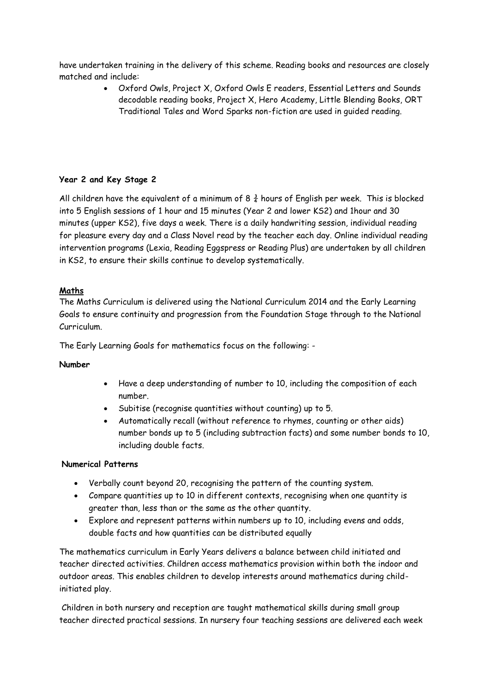have undertaken training in the delivery of this scheme. Reading books and resources are closely matched and include:

> Oxford Owls, Project X, Oxford Owls E readers, Essential Letters and Sounds decodable reading books, Project X, Hero Academy, Little Blending Books, ORT Traditional Tales and Word Sparks non-fiction are used in guided reading.

# **Year 2 and Key Stage 2**

All children have the equivalent of a minimum of 8  $\frac{3}{4}$  hours of English per week. This is blocked into 5 English sessions of 1 hour and 15 minutes (Year 2 and lower KS2) and 1hour and 30 minutes (upper KS2), five days a week. There is a daily handwriting session, individual reading for pleasure every day and a Class Novel read by the teacher each day. Online individual reading intervention programs (Lexia, Reading Eggspress or Reading Plus) are undertaken by all children in KS2, to ensure their skills continue to develop systematically.

# **Maths**

The Maths Curriculum is delivered using the National Curriculum 2014 and the Early Learning Goals to ensure continuity and progression from the Foundation Stage through to the National Curriculum.

The Early Learning Goals for mathematics focus on the following: -

# **Number**

- Have a deep understanding of number to 10, including the composition of each number.
- Subitise (recognise quantities without counting) up to 5.
- Automatically recall (without reference to rhymes, counting or other aids) number bonds up to 5 (including subtraction facts) and some number bonds to 10, including double facts.

# **Numerical Patterns**

- Verbally count beyond 20, recognising the pattern of the counting system.
- Compare quantities up to 10 in different contexts, recognising when one quantity is greater than, less than or the same as the other quantity.
- Explore and represent patterns within numbers up to 10, including evens and odds, double facts and how quantities can be distributed equally

The mathematics curriculum in Early Years delivers a balance between child initiated and teacher directed activities. Children access mathematics provision within both the indoor and outdoor areas. This enables children to develop interests around mathematics during childinitiated play.

Children in both nursery and reception are taught mathematical skills during small group teacher directed practical sessions. In nursery four teaching sessions are delivered each week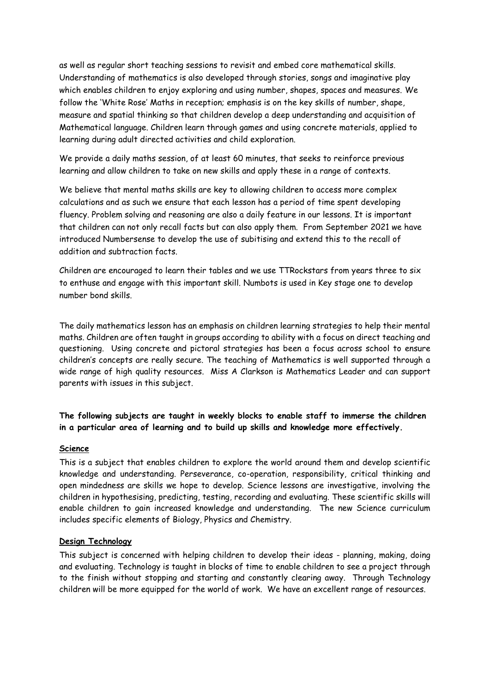as well as regular short teaching sessions to revisit and embed core mathematical skills. Understanding of mathematics is also developed through stories, songs and imaginative play which enables children to enjoy exploring and using number, shapes, spaces and measures. We follow the 'White Rose' Maths in reception; emphasis is on the key skills of number, shape, measure and spatial thinking so that children develop a deep understanding and acquisition of Mathematical language. Children learn through games and using concrete materials, applied to learning during adult directed activities and child exploration.

We provide a daily maths session, of at least 60 minutes, that seeks to reinforce previous learning and allow children to take on new skills and apply these in a range of contexts.

We believe that mental maths skills are key to allowing children to access more complex calculations and as such we ensure that each lesson has a period of time spent developing fluency. Problem solving and reasoning are also a daily feature in our lessons. It is important that children can not only recall facts but can also apply them. From September 2021 we have introduced Numbersense to develop the use of subitising and extend this to the recall of addition and subtraction facts.

Children are encouraged to learn their tables and we use TTRockstars from years three to six to enthuse and engage with this important skill. Numbots is used in Key stage one to develop number bond skills.

The daily mathematics lesson has an emphasis on children learning strategies to help their mental maths. Children are often taught in groups according to ability with a focus on direct teaching and questioning. Using concrete and pictoral strategies has been a focus across school to ensure children's concepts are really secure. The teaching of Mathematics is well supported through a wide range of high quality resources. Miss A Clarkson is Mathematics Leader and can support parents with issues in this subject.

**The following subjects are taught in weekly blocks to enable staff to immerse the children in a particular area of learning and to build up skills and knowledge more effectively.** 

#### **Science**

This is a subject that enables children to explore the world around them and develop scientific knowledge and understanding. Perseverance, co-operation, responsibility, critical thinking and open mindedness are skills we hope to develop. Science lessons are investigative, involving the children in hypothesising, predicting, testing, recording and evaluating. These scientific skills will enable children to gain increased knowledge and understanding. The new Science curriculum includes specific elements of Biology, Physics and Chemistry.

#### **Design Technology**

This subject is concerned with helping children to develop their ideas - planning, making, doing and evaluating. Technology is taught in blocks of time to enable children to see a project through to the finish without stopping and starting and constantly clearing away. Through Technology children will be more equipped for the world of work. We have an excellent range of resources.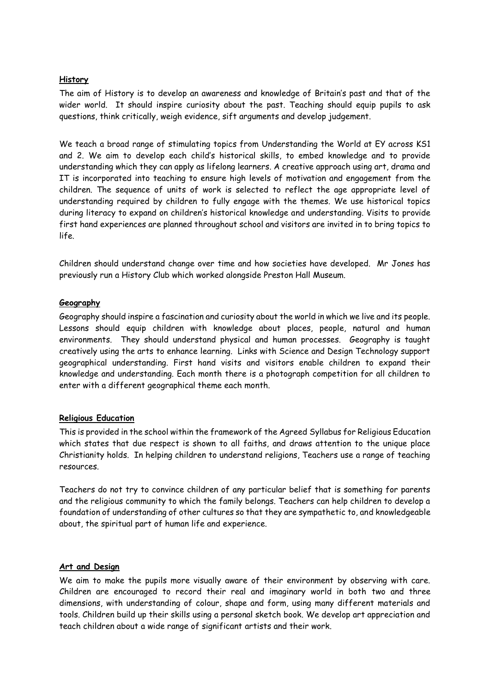# **History**

The aim of History is to develop an awareness and knowledge of Britain's past and that of the wider world. It should inspire curiosity about the past. Teaching should equip pupils to ask questions, think critically, weigh evidence, sift arguments and develop judgement.

We teach a broad range of stimulating topics from Understanding the World at EY across KS1 and 2. We aim to develop each child's historical skills, to embed knowledge and to provide understanding which they can apply as lifelong learners. A creative approach using art, drama and IT is incorporated into teaching to ensure high levels of motivation and engagement from the children. The sequence of units of work is selected to reflect the age appropriate level of understanding required by children to fully engage with the themes. We use historical topics during literacy to expand on children's historical knowledge and understanding. Visits to provide first hand experiences are planned throughout school and visitors are invited in to bring topics to life.

Children should understand change over time and how societies have developed. Mr Jones has previously run a History Club which worked alongside Preston Hall Museum.

### **Geography**

Geography should inspire a fascination and curiosity about the world in which we live and its people. Lessons should equip children with knowledge about places, people, natural and human environments. They should understand physical and human processes. Geography is taught creatively using the arts to enhance learning. Links with Science and Design Technology support geographical understanding. First hand visits and visitors enable children to expand their knowledge and understanding. Each month there is a photograph competition for all children to enter with a different geographical theme each month.

# **Religious Education**

This is provided in the school within the framework of the Agreed Syllabus for Religious Education which states that due respect is shown to all faiths, and draws attention to the unique place Christianity holds. In helping children to understand religions, Teachers use a range of teaching resources.

Teachers do not try to convince children of any particular belief that is something for parents and the religious community to which the family belongs. Teachers can help children to develop a foundation of understanding of other cultures so that they are sympathetic to, and knowledgeable about, the spiritual part of human life and experience.

# **Art and Design**

We aim to make the pupils more visually aware of their environment by observing with care. Children are encouraged to record their real and imaginary world in both two and three dimensions, with understanding of colour, shape and form, using many different materials and tools. Children build up their skills using a personal sketch book. We develop art appreciation and teach children about a wide range of significant artists and their work.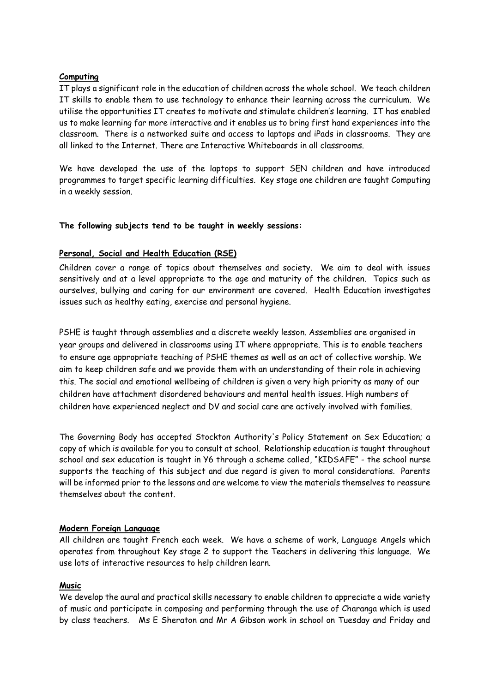#### **Computing**

IT plays a significant role in the education of children across the whole school. We teach children IT skills to enable them to use technology to enhance their learning across the curriculum. We utilise the opportunities IT creates to motivate and stimulate children's learning. IT has enabled us to make learning far more interactive and it enables us to bring first hand experiences into the classroom. There is a networked suite and access to laptops and iPads in classrooms. They are all linked to the Internet. There are Interactive Whiteboards in all classrooms.

We have developed the use of the laptops to support SEN children and have introduced programmes to target specific learning difficulties. Key stage one children are taught Computing in a weekly session.

### **The following subjects tend to be taught in weekly sessions:**

### **Personal, Social and Health Education (RSE)**

Children cover a range of topics about themselves and society. We aim to deal with issues sensitively and at a level appropriate to the age and maturity of the children. Topics such as ourselves, bullying and caring for our environment are covered. Health Education investigates issues such as healthy eating, exercise and personal hygiene.

PSHE is taught through assemblies and a discrete weekly lesson. Assemblies are organised in year groups and delivered in classrooms using IT where appropriate. This is to enable teachers to ensure age appropriate teaching of PSHE themes as well as an act of collective worship. We aim to keep children safe and we provide them with an understanding of their role in achieving this. The social and emotional wellbeing of children is given a very high priority as many of our children have attachment disordered behaviours and mental health issues. High numbers of children have experienced neglect and DV and social care are actively involved with families.

The Governing Body has accepted Stockton Authority's Policy Statement on Sex Education; a copy of which is available for you to consult at school. Relationship education is taught throughout school and sex education is taught in Y6 through a scheme called, "KIDSAFE" - the school nurse supports the teaching of this subject and due regard is given to moral considerations. Parents will be informed prior to the lessons and are welcome to view the materials themselves to reassure themselves about the content.

#### **Modern Foreign Language**

All children are taught French each week. We have a scheme of work, Language Angels which operates from throughout Key stage 2 to support the Teachers in delivering this language. We use lots of interactive resources to help children learn.

# **Music**

We develop the aural and practical skills necessary to enable children to appreciate a wide variety of music and participate in composing and performing through the use of Charanga which is used by class teachers. Ms E Sheraton and Mr A Gibson work in school on Tuesday and Friday and